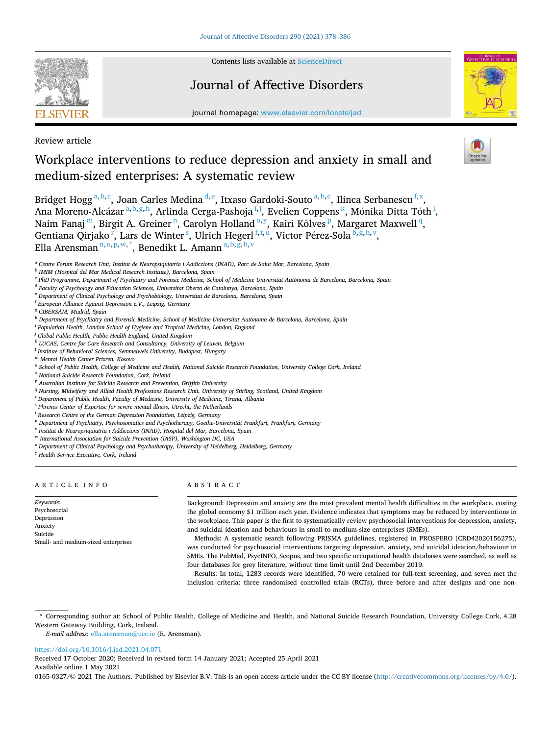

Contents lists available at [ScienceDirect](www.sciencedirect.com/science/journal/01650327)

# Journal of Affective Disorders



journal homepage: [www.elsevier.com/locate/jad](https://www.elsevier.com/locate/jad)

Review article

# Workplace interventions to reduce depression and anxiety in small and medium-sized enterprises: A systematic review

Bridget Hogg<sup>a,b,c</sup>, Joan Carles Medina <sup>d,e</sup>, Itxaso Gardoki-Souto <sup>a,b,c</sup>, Ilinca Serbanescu <sup>f,x</sup>, Ana Moreno-Alcázar <sup>a, b, g, h</sup>, Arlinda Cerga-Pashoja <sup>i, j</sup>, Evelien Coppens <sup>k</sup>, Mónika Ditta Tóth <sup>l</sup>, Naim Fanaj <sup>m</sup>, Birgit A. Greiner <sup>n</sup>, Carolyn Holland <sup>0, y</sup>, Kairi Kõlves <sup>p</sup>, Margaret Maxwell <sup>q</sup>, Gentiana Qirjako<sup>r</sup>, Lars de Winter<sup>s</sup>, Ulrich Hegerl<sup>f,t,u</sup>, Victor Pérez-Sola <sup>b,g,h,v</sup>, Ella Arensman<sup>n, o, p, w, \*</sup>, Benedikt L. Amann <sup>a, b, g, h, v</sup>

- <sup>i</sup> *Population Health, London School of Hygiene and Tropical Medicine, London, England*
- <sup>j</sup> *Global Public Health, Public Health England, United Kingdom*
- <sup>k</sup> *LUCAS, Centre for Care Research and Consultancy, University of Leuven, Belgium*
- <sup>l</sup> *Institute of Behavioral Sciences, Semmelweis University, Budapest, Hungary*
- <sup>m</sup> *Mental Health Center Prizren, Kosovo*
- <sup>n</sup> *School of Public Health, College of Medicine and Health, National Suicide Research Foundation, University College Cork, Ireland*
- <sup>o</sup> *National Suicide Research Foundation, Cork, Ireland*
- <sup>p</sup> *Australian Institute for Suicide Research and Prevention, Griffith University*
- <sup>q</sup> *Nursing, Midwifery and Allied Health Professions Research Unit, University of Stirling, Scotland, United Kingdom*
- <sup>r</sup> *Department of Public Health, Faculty of Medicine, University of Medicine, Tirana, Albania*
- <sup>s</sup> *Phrenos Center of Expertise for severe mental illness, Utrecht, the Netherlands*
- <sup>t</sup> *Research Centre of the German Depression Foundation, Leipzig, Germany*
- <sup>u</sup> Department of Psychiatry, Psychosomatics and Psychotherapy, Goethe-Universität Frankfurt, Frankfurt, Germany
- <sup>v</sup> *Institut de Neuropsiquiatria i Addiccions (INAD), Hospital del Mar, Barcelona, Spain*
- <sup>w</sup> *International Association for Suicide Prevention (IASP), Washington DC, USA*
- <sup>x</sup> *Department of Clinical Psychology and Psychotherapy, University of Heidelberg, Heidelberg, Germany*

<sup>y</sup> *Health Service Executive, Cork, Ireland* 

## ARTICLE INFO

## ABSTRACT

*Keywords:*  Psychosocial Depression Anxiety Suicide Small- and medium-sized enterprises

Background: Depression and anxiety are the most prevalent mental health difficulties in the workplace, costing the global economy \$1 trillion each year. Evidence indicates that symptoms may be reduced by interventions in the workplace. This paper is the first to systematically review psychosocial interventions for depression, anxiety, and suicidal ideation and behaviours in small-to medium-size enterprises (SMEs).

Methods: A systematic search following PRISMA guidelines, registered in PROSPERO (CRD42020156275), was conducted for psychosocial interventions targeting depression, anxiety, and suicidal ideation/behaviour in SMEs. The PubMed, PsycINFO, Scopus, and two specific occupational health databases were searched, as well as four databases for grey literature, without time limit until 2nd December 2019.

Results: In total, 1283 records were identified, 70 were retained for full-text screening, and seven met the inclusion criteria: three randomised controlled trials (RCTs), three before and after designs and one non-

\* Corresponding author at: School of Public Health, College of Medicine and Health, and National Suicide Research Foundation, University College Cork, 4.28 Western Gateway Building, Cork, Ireland.

*E-mail address:* [ella.arensman@ucc.ie](mailto:ella.arensman@ucc.ie) (E. Arensman).

## <https://doi.org/10.1016/j.jad.2021.04.071>

Available online 1 May 2021 0165-0327/© 2021 The Authors. Published by Elsevier B.V. This is an open access article under the CC BY license [\(http://creativecommons.org/licenses/by/4.0/\)](http://creativecommons.org/licenses/by/4.0/). Received 17 October 2020; Received in revised form 14 January 2021; Accepted 25 April 2021

<sup>&</sup>lt;sup>a</sup> Centre Fòrum Research Unit, Institut de Neuropsiquiatria i Addiccions (INAD), Parc de Salut Mar, Barcelona, Spain

<sup>b</sup> *IMIM (Hospital del Mar Medical Research Institute), Barcelona, Spain* 

<sup>&</sup>lt;sup>c</sup> PhD Programme, Department of Psychiatry and Forensic Medicine, School of Medicine Universitat Autònoma de Barcelona, Barcelona, Spain

<sup>d</sup> *Faculty of Psychology and Education Sciences, Universitat Oberta de Catalunya, Barcelona, Spain* 

<sup>e</sup> *Department of Clinical Psychology and Psychobiology, Universitat de Barcelona, Barcelona, Spain* 

<sup>f</sup> *European Alliance Against Depression e.V., Leipzig, Germany* 

<sup>g</sup> *CIBERSAM, Madrid, Spain* 

<sup>&</sup>lt;sup>h</sup> Department of Psychiatry and Forensic Medicine, School of Medicine Universitat Autònoma de Barcelona, Barcelona, Spain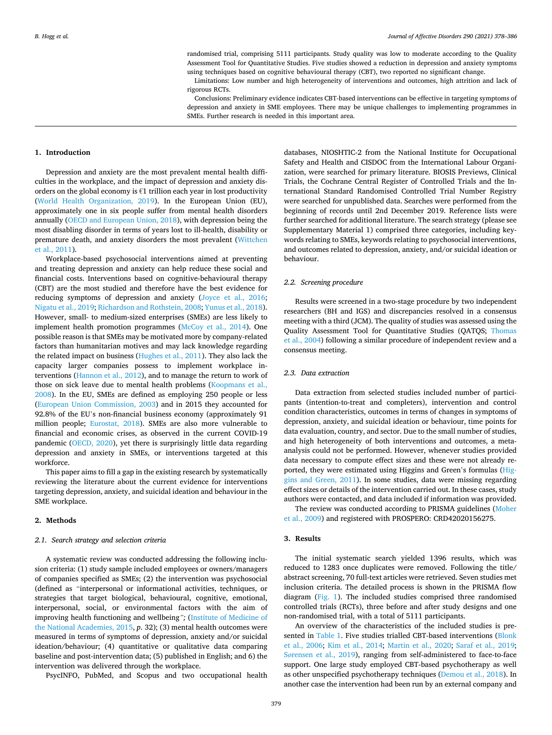randomised trial, comprising 5111 participants. Study quality was low to moderate according to the Quality Assessment Tool for Quantitative Studies. Five studies showed a reduction in depression and anxiety symptoms using techniques based on cognitive behavioural therapy (CBT), two reported no significant change.

Limitations: Low number and high heterogeneity of interventions and outcomes, high attrition and lack of rigorous RCTs.

Conclusions: Preliminary evidence indicates CBT-based interventions can be effective in targeting symptoms of depression and anxiety in SME employees. There may be unique challenges to implementing programmes in SMEs. Further research is needed in this important area.

## **1. Introduction**

Depression and anxiety are the most prevalent mental health difficulties in the workplace, and the impact of depression and anxiety disorders on the global economy is  $\epsilon$ 1 trillion each year in lost productivity ([World Health Organization, 2019\)](#page-8-0). In the European Union (EU), approximately one in six people suffer from mental health disorders annually [\(OECD and European Union, 2018\)](#page-8-0), with depression being the most disabling disorder in terms of years lost to ill-health, disability or premature death, and anxiety disorders the most prevalent ([Wittchen](#page-8-0)  [et al., 2011\)](#page-8-0).

Workplace-based psychosocial interventions aimed at preventing and treating depression and anxiety can help reduce these social and financial costs. Interventions based on cognitive-behavioural therapy (CBT) are the most studied and therefore have the best evidence for reducing symptoms of depression and anxiety [\(Joyce et al., 2016](#page-7-0); [Nigatu et al., 2019; Richardson and Rothstein, 2008](#page-8-0); [Yunus et al., 2018](#page-8-0)). However, small- to medium-sized enterprises (SMEs) are less likely to implement health promotion programmes ([McCoy et al., 2014\)](#page-8-0). One possible reason is that SMEs may be motivated more by company-related factors than humanitarian motives and may lack knowledge regarding the related impact on business [\(Hughes et al., 2011\)](#page-7-0). They also lack the capacity larger companies possess to implement workplace interventions [\(Hannon et al., 2012\)](#page-7-0), and to manage the return to work of those on sick leave due to mental health problems [\(Koopmans et al.,](#page-7-0)  [2008\)](#page-7-0). In the EU, SMEs are defined as employing 250 people or less ([European Union Commission, 2003\)](#page-7-0) and in 2015 they accounted for 92.8% of the EU's non-financial business economy (approximately 91 million people; [Eurostat, 2018\)](#page-7-0). SMEs are also more vulnerable to financial and economic crises, as observed in the current COVID-19 pandemic ([OECD, 2020\)](#page-8-0), yet there is surprisingly little data regarding depression and anxiety in SMEs, or interventions targeted at this workforce.

This paper aims to fill a gap in the existing research by systematically reviewing the literature about the current evidence for interventions targeting depression, anxiety, and suicidal ideation and behaviour in the SME workplace.

#### **2. Methods**

## *2.1. Search strategy and selection criteria*

A systematic review was conducted addressing the following inclusion criteria: (1) study sample included employees or owners/managers of companies specified as SMEs; (2) the intervention was psychosocial (defined as *"*interpersonal or informational activities, techniques, or strategies that target biological, behavioural, cognitive, emotional, interpersonal, social, or environmental factors with the aim of improving health functioning and wellbeing*";* ([Institute of Medicine of](#page-7-0)  [the National Academies, 2015](#page-7-0), *p*. 32); (3) mental health outcomes were measured in terms of symptoms of depression, anxiety and/or suicidal ideation/behaviour; (4) quantitative or qualitative data comparing baseline and post-intervention data; (5) published in English; and 6) the intervention was delivered through the workplace.

PsycINFO, PubMed, and Scopus and two occupational health

databases, NIOSHTIC-2 from the National Institute for Occupational Safety and Health and CISDOC from the International Labour Organization, were searched for primary literature. BIOSIS Previews, Clinical Trials, the Cochrane Central Register of Controlled Trials and the International Standard Randomised Controlled Trial Number Registry were searched for unpublished data. Searches were performed from the beginning of records until 2nd December 2019. Reference lists were further searched for additional literature. The search strategy (please see Supplementary Material 1) comprised three categories, including keywords relating to SMEs, keywords relating to psychosocial interventions, and outcomes related to depression, anxiety, and/or suicidal ideation or behaviour.

## *2.2. Screening procedure*

Results were screened in a two-stage procedure by two independent researchers (BH and IGS) and discrepancies resolved in a consensus meeting with a third (JCM). The quality of studies was assessed using the Quality Assessment Tool for Quantitative Studies (QATQS; [Thomas](#page-8-0)  [et al., 2004](#page-8-0)) following a similar procedure of independent review and a consensus meeting.

## *2.3. Data extraction*

Data extraction from selected studies included number of participants (intention-to-treat and completers), intervention and control condition characteristics, outcomes in terms of changes in symptoms of depression, anxiety, and suicidal ideation or behaviour, time points for data evaluation, country, and sector. Due to the small number of studies, and high heterogeneity of both interventions and outcomes, a metaanalysis could not be performed. However, whenever studies provided data necessary to compute effect sizes and these were not already reported, they were estimated using Higgins and Green's formulas ([Hig](#page-7-0)[gins and Green, 2011\)](#page-7-0). In some studies, data were missing regarding effect sizes or details of the intervention carried out. In these cases, study authors were contacted, and data included if information was provided.

The review was conducted according to PRISMA guidelines ([Moher](#page-8-0)  [et al., 2009\)](#page-8-0) and registered with PROSPERO: CRD42020156275.

## **3. Results**

The initial systematic search yielded 1396 results, which was reduced to 1283 once duplicates were removed. Following the title/ abstract screening, 70 full-text articles were retrieved. Seven studies met inclusion criteria. The detailed process is shown in the PRISMA flow diagram ([Fig. 1](#page-2-0)). The included studies comprised three randomised controlled trials (RCTs), three before and after study designs and one non-randomised trial, with a total of 5111 participants.

An overview of the characteristics of the included studies is pre-sented in [Table 1](#page-3-0). Five studies trialled CBT-based interventions (Blonk [et al., 2006](#page-7-0); [Kim et al., 2014;](#page-7-0) [Martin et al., 2020](#page-7-0); [Saraf et al., 2019](#page-8-0); Sø[rensen et al., 2019](#page-8-0)), ranging from self-administered to face-to-face support. One large study employed CBT-based psychotherapy as well as other unspecified psychotherapy techniques ([Demou et al., 2018](#page-7-0)). In another case the intervention had been run by an external company and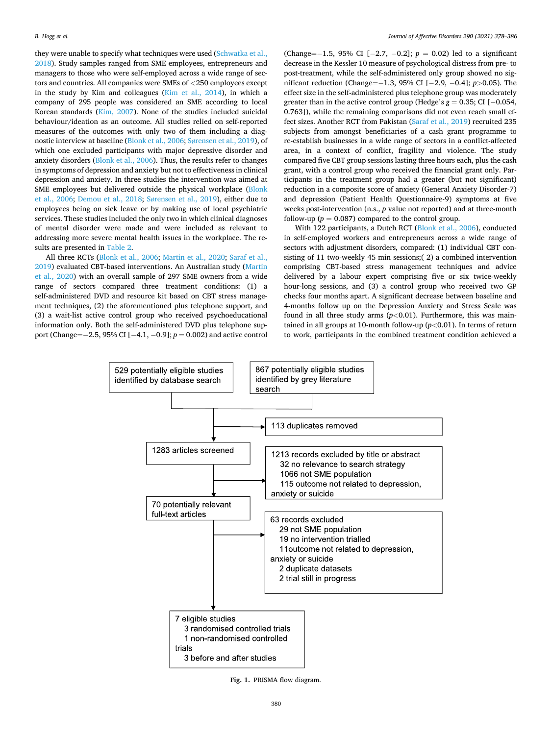<span id="page-2-0"></span>they were unable to specify what techniques were used ([Schwatka et al.,](#page-8-0)  [2018\)](#page-8-0). Study samples ranged from SME employees, entrepreneurs and managers to those who were self-employed across a wide range of sectors and countries. All companies were SMEs of *<*250 employees except in the study by Kim and colleagues ([Kim et al., 2014](#page-7-0)), in which a company of 295 people was considered an SME according to local Korean standards [\(Kim, 2007](#page-7-0)). None of the studies included suicidal behaviour/ideation as an outcome. All studies relied on self-reported measures of the outcomes with only two of them including a diagnostic interview at baseline ([Blonk et al., 2006;](#page-7-0) Sø[rensen et al., 2019\)](#page-8-0), of which one excluded participants with major depressive disorder and anxiety disorders [\(Blonk et al., 2006](#page-7-0)). Thus, the results refer to changes in symptoms of depression and anxiety but not to effectiveness in clinical depression and anxiety. In three studies the intervention was aimed at SME employees but delivered outside the physical workplace [\(Blonk](#page-7-0)  [et al., 2006;](#page-7-0) [Demou et al., 2018](#page-7-0); Sø[rensen et al., 2019](#page-8-0)), either due to employees being on sick leave or by making use of local psychiatric services. These studies included the only two in which clinical diagnoses of mental disorder were made and were included as relevant to addressing more severe mental health issues in the workplace. The results are presented in [Table 2.](#page-5-0)

All three RCTs [\(Blonk et al., 2006;](#page-7-0) [Martin et al., 2020;](#page-7-0) [Saraf et al.,](#page-8-0)  [2019\)](#page-8-0) evaluated CBT-based interventions. An Australian study ([Martin](#page-7-0)  [et al., 2020](#page-7-0)) with an overall sample of 297 SME owners from a wide range of sectors compared three treatment conditions: (1) a self-administered DVD and resource kit based on CBT stress management techniques, (2) the aforementioned plus telephone support, and (3) a wait-list active control group who received psychoeducational information only. Both the self-administered DVD plus telephone support (Change=− 2.5, 95% CI [− 4.1, − 0.9]; *p* = 0.002) and active control

(Change=− 1.5, 95% CI [− 2.7, − 0.2]; *p* = 0.02) led to a significant decrease in the Kessler 10 measure of psychological distress from pre- to post-treatment, while the self-administered only group showed no significant reduction (Change=− 1.3, 95% CI [− 2.9, − 0.4]; *p>*0.05). The effect size in the self-administered plus telephone group was moderately greater than in the active control group (Hedge's  $g = 0.35$ ; CI [ $-0.054$ , 0.763]), while the remaining comparisons did not even reach small effect sizes. Another RCT from Pakistan ([Saraf et al., 2019\)](#page-8-0) recruited 235 subjects from amongst beneficiaries of a cash grant programme to re-establish businesses in a wide range of sectors in a conflict-affected area, in a context of conflict, fragility and violence. The study compared five CBT group sessions lasting three hours each, plus the cash grant, with a control group who received the financial grant only. Participants in the treatment group had a greater (but not significant) reduction in a composite score of anxiety (General Anxiety Disorder-7) and depression (Patient Health Questionnaire-9) symptoms at five weeks post-intervention (n.s., *p* value not reported) and at three-month follow-up ( $p = 0.087$ ) compared to the control group.

With 122 participants, a Dutch RCT ([Blonk et al., 2006\)](#page-7-0), conducted in self-employed workers and entrepreneurs across a wide range of sectors with adjustment disorders, compared: (1) individual CBT consisting of 11 two-weekly 45 min sessions;( 2) a combined intervention comprising CBT-based stress management techniques and advice delivered by a labour expert comprising five or six twice-weekly hour-long sessions, and (3) a control group who received two GP checks four months apart. A significant decrease between baseline and 4-months follow up on the Depression Anxiety and Stress Scale was found in all three study arms (*p<*0.01). Furthermore, this was maintained in all groups at 10-month follow-up (*p<*0.01). In terms of return to work, participants in the combined treatment condition achieved a



**Fig. 1.** PRISMA flow diagram.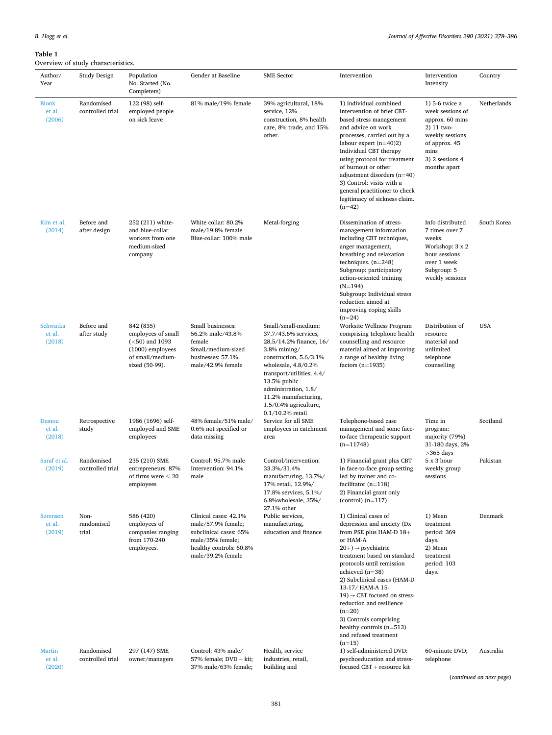# <span id="page-3-0"></span>**Table 1**

# .<br>w of study characteristics

| Author/<br>Year                   | Study Design                   | Population<br>No. Started (No.<br>Completers)                                                                   | Gender at Baseline                                                                                                                        | <b>SME</b> Sector                                                                                                                                                                                                                                                                        | Intervention                                                                                                                                                                                                                                                                                                                                                                                                                                        | Intervention<br>Intensity                                                                                                                          | Country     |
|-----------------------------------|--------------------------------|-----------------------------------------------------------------------------------------------------------------|-------------------------------------------------------------------------------------------------------------------------------------------|------------------------------------------------------------------------------------------------------------------------------------------------------------------------------------------------------------------------------------------------------------------------------------------|-----------------------------------------------------------------------------------------------------------------------------------------------------------------------------------------------------------------------------------------------------------------------------------------------------------------------------------------------------------------------------------------------------------------------------------------------------|----------------------------------------------------------------------------------------------------------------------------------------------------|-------------|
| <b>Blonk</b><br>et al.<br>(2006)  | Randomised<br>controlled trial | 122 (98) self-<br>employed people<br>on sick leave                                                              | 81% male/19% female                                                                                                                       | 39% agricultural, 18%<br>service, 12%<br>construction, 8% health<br>care, 8% trade, and 15%<br>other.                                                                                                                                                                                    | 1) individual combined<br>intervention of brief CBT-<br>based stress management<br>and advice on work<br>processes, carried out by a<br>labour expert $(n=40)2$<br>Individual CBT therapy<br>using protocol for treatment<br>of burnout or other<br>adjustment disorders $(n=40)$<br>3) Control: visits with a<br>general practitioner to check<br>legitimacy of sickness claim.<br>$(n=42)$                                                        | 1) 5-6 twice a<br>week sessions of<br>approx. 60 mins<br>2) 11 two-<br>weekly sessions<br>of approx. 45<br>mins<br>3) 2 sessions 4<br>months apart | Netherlands |
| Kim et al.<br>(2014)              | Before and<br>after design     | 252 (211) white-<br>and blue-collar<br>workers from one<br>medium-sized<br>company                              | White collar: 80.2%<br>male/19.8% female<br>Blue-collar: 100% male                                                                        | Metal-forging                                                                                                                                                                                                                                                                            | Dissemination of stress-<br>management information<br>including CBT techniques,<br>anger management,<br>breathing and relaxation<br>techniques. $(n=248)$<br>Subgroup: participatory<br>action-oriented training<br>$(N=194)$<br>Subgroup: Individual stress<br>reduction aimed at<br>improving coping skills                                                                                                                                       | Info distributed<br>7 times over 7<br>weeks.<br>Workshop: 3 x 2<br>hour sessions<br>over 1 week<br>Subgroup: 5<br>weekly sessions                  | South Korea |
| Schwatka<br>et al.<br>(2018)      | Before and<br>after study      | 842 (835)<br>employees of small<br>$(<50)$ and 1093<br>$(1000)$ employees<br>of small/medium-<br>sized (50-99). | Small businesses:<br>56.2% male/43.8%<br>female<br>Small/medium-sized<br>businesses: 57.1%<br>male/42.9% female                           | Small/small-medium:<br>37.7/43.6% services,<br>28.5/14.2% finance, 16/<br>$3.8\%$ mining/<br>construction, 5.6/3.1%<br>wholesale, $4.8/0.2%$<br>transport/utilities, 4.4/<br>13.5% public<br>administration, 1.8/<br>11.2% manufacturing,<br>1.5/0.4% agriculture,<br>$0.1/10.2%$ retail | $(n=24)$<br>Worksite Wellness Program<br>comprising telephone health<br>counselling and resource<br>material aimed at improving<br>a range of healthy living<br>factors $(n=1935)$                                                                                                                                                                                                                                                                  | Distribution of<br>resource<br>material and<br>unlimited<br>telephone<br>counselling                                                               | <b>USA</b>  |
| Demou<br>et al.<br>(2018)         | Retrospective<br>study         | 1986 (1696) self-<br>employed and SME<br>employees                                                              | 48% female/51% male/<br>0.6% not specified or<br>data missing                                                                             | Service for all SME<br>employees in catchment<br>area                                                                                                                                                                                                                                    | Telephone-based case<br>management and some face-<br>to-face therapeutic support<br>$(n=11748)$                                                                                                                                                                                                                                                                                                                                                     | Time in<br>program:<br>majority (79%)<br>31-180 days, 2%<br>$>365$ days                                                                            | Scotland    |
| Saraf et al.<br>(2019)            | Randomised<br>controlled trial | 235 (210) SME<br>entrepreneurs. 87%<br>of firms were $\leq 20$<br>employees                                     | Control: 95.7% male<br>Intervention: 94.1%<br>male                                                                                        | Control/intervention:<br>33.3%/31.4%<br>manufacturing, 13.7%/<br>17% retail, 12.9%/<br>17.8% services, 5.1%/<br>6.8%wholesale, 35%/<br>27.1% other                                                                                                                                       | 1) Financial grant plus CBT<br>in face-to-face group setting<br>led by trainer and co-<br>facilitator $(n=118)$<br>2) Financial grant only<br>$(control)$ $(n=117)$                                                                                                                                                                                                                                                                                 | 5 x 3 hour<br>weekly group<br>sessions                                                                                                             | Pakistan    |
| Sørensen<br>et al.<br>(2019)      | Non-<br>randomised<br>trial    | 586 (420)<br>employees of<br>companies ranging<br>from 170-240<br>employees.                                    | Clinical cases: 42.1%<br>male/57.9% female;<br>subclinical cases: 65%<br>male/35% female;<br>healthy controls: 60.8%<br>male/39.2% female | Public services,<br>manufacturing,<br>education and finance                                                                                                                                                                                                                              | 1) Clinical cases of<br>depression and anxiety (Dx<br>from PSE plus HAM-D 18+<br>or HAM-A<br>$20+) \rightarrow$ psychiatric<br>treatment based on standard<br>protocols until remission<br>achieved $(n=38)$<br>2) Subclinical cases (HAM-D<br>13-17/ HAM-A 15-<br>$19$ ) $\rightarrow$ CBT focused on stress-<br>reduction and resilience<br>$(n=20)$<br>3) Controls comprising<br>healthy controls $(n=513)$<br>and refused treatment<br>$(n=15)$ | 1) Mean<br>treatment<br>period: 369<br>days.<br>2) Mean<br>treatment<br>period: 103<br>days.                                                       | Denmark     |
| <b>Martin</b><br>et al.<br>(2020) | Randomised<br>controlled trial | 297 (147) SME<br>owner/managers                                                                                 | Control: 43% male/<br>57% female; $DVD + kit$ ;<br>37% male/63% female;                                                                   | Health, service<br>industries, retail,<br>building and                                                                                                                                                                                                                                   | 1) self-administered DVD:<br>psychoeducation and stress-<br>$f$ ocused CBT + resource kit                                                                                                                                                                                                                                                                                                                                                           | 60-minute DVD;<br>telephone                                                                                                                        | Australia   |

(*continued on next page*)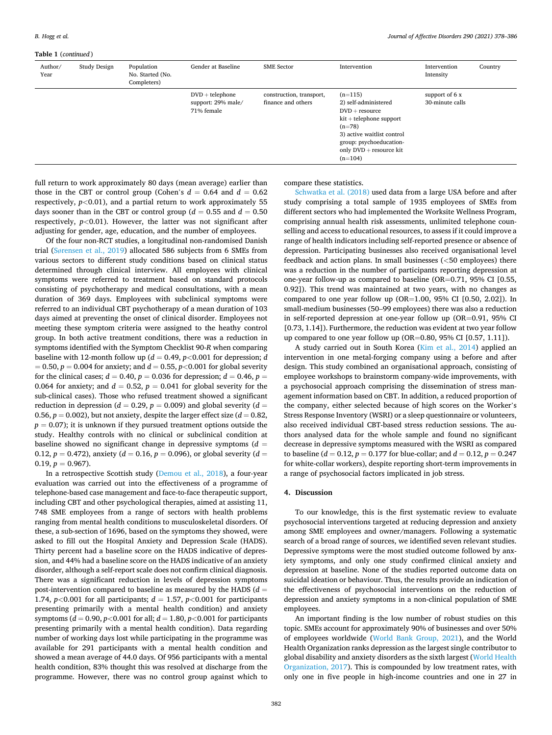## **Table 1** (*continued* )

| $\ldots$        |              |                                               |                                                       |                                                |                                                                                                                                                                                                   |                                    |         |
|-----------------|--------------|-----------------------------------------------|-------------------------------------------------------|------------------------------------------------|---------------------------------------------------------------------------------------------------------------------------------------------------------------------------------------------------|------------------------------------|---------|
| Author/<br>Year | Study Design | Population<br>No. Started (No.<br>Completers) | Gender at Baseline                                    | <b>SME</b> Sector                              | Intervention                                                                                                                                                                                      | Intervention<br>Intensity          | Country |
|                 |              |                                               | $DVD + telephone$<br>support: 29% male/<br>71% female | construction, transport,<br>finance and others | $(n=115)$<br>2) self-administered<br>$DVD + resource$<br>$kit + telephone support$<br>$(n=78)$<br>3) active waitlist control<br>group: psychoeducation-<br>only $DVD +$ resource kit<br>$(n=104)$ | support of $6x$<br>30-minute calls |         |

full return to work approximately 80 days (mean average) earlier than those in the CBT or control group (Cohen's  $d = 0.64$  and  $d = 0.62$ respectively,  $p < 0.01$ ), and a partial return to work approximately 55 days sooner than in the CBT or control group ( $d = 0.55$  and  $d = 0.50$ respectively,  $p$ <0.01). However, the latter was not significant after adjusting for gender, age, education, and the number of employees.

Of the four non-RCT studies, a longitudinal non-randomised Danish trial (Sø[rensen et al., 2019](#page-8-0)) allocated 586 subjects from 6 SMEs from various sectors to different study conditions based on clinical status determined through clinical interview. All employees with clinical symptoms were referred to treatment based on standard protocols consisting of psychotherapy and medical consultations, with a mean duration of 369 days. Employees with subclinical symptoms were referred to an individual CBT psychotherapy of a mean duration of 103 days aimed at preventing the onset of clinical disorder. Employees not meeting these symptom criteria were assigned to the heathy control group. In both active treatment conditions, there was a reduction in symptoms identified with the Symptom Checklist 90-*R* when comparing baseline with 12-month follow up ( $d = 0.49$ ,  $p < 0.001$  for depression; *d*  $= 0.50, p = 0.004$  for anxiety; and  $d = 0.55, p < 0.001$  for global severity for the clinical cases;  $d = 0.40$ ,  $p = 0.036$  for depression;  $d = 0.46$ ,  $p =$ 0.064 for anxiety; and  $d = 0.52$ ,  $p = 0.041$  for global severity for the sub-clinical cases). Those who refused treatment showed a significant reduction in depression ( $d = 0.29$ ,  $p = 0.009$ ) and global severity ( $d =$ 0.56,  $p = 0.002$ ), but not anxiety, despite the larger effect size ( $d = 0.82$ ,  $p = 0.07$ ); it is unknown if they pursued treatment options outside the study. Healthy controls with no clinical or subclinical condition at baseline showed no significant change in depressive symptoms (*d* = 0.12,  $p = 0.472$ ), anxiety ( $d = 0.16$ ,  $p = 0.096$ ), or global severity ( $d =$  $0.19, p = 0.967$ .

In a retrospective Scottish study [\(Demou et al., 2018\)](#page-7-0), a four-year evaluation was carried out into the effectiveness of a programme of telephone-based case management and face-to-face therapeutic support, including CBT and other psychological therapies, aimed at assisting 11, 748 SME employees from a range of sectors with health problems ranging from mental health conditions to musculoskeletal disorders. Of these, a sub-section of 1696, based on the symptoms they showed, were asked to fill out the Hospital Anxiety and Depression Scale (HADS). Thirty percent had a baseline score on the HADS indicative of depression, and 44% had a baseline score on the HADS indicative of an anxiety disorder, although a self-report scale does not confirm clinical diagnosis. There was a significant reduction in levels of depression symptoms post-intervention compared to baseline as measured by the HADS (*d* = 1.74,  $p$ <0.001 for all participants;  $d = 1.57$ ,  $p$ <0.001 for participants presenting primarily with a mental health condition) and anxiety symptoms (*d* = 0.90, *p<*0.001 for all; *d* = 1.80, *p<*0.001 for participants presenting primarily with a mental health condition). Data regarding number of working days lost while participating in the programme was available for 291 participants with a mental health condition and showed a mean average of 44.0 days. Of 956 participants with a mental health condition, 83% thought this was resolved at discharge from the programme. However, there was no control group against which to

compare these statistics.

[Schwatka et al. \(2018\)](#page-8-0) used data from a large USA before and after study comprising a total sample of 1935 employees of SMEs from different sectors who had implemented the Worksite Wellness Program, comprising annual health risk assessments, unlimited telephone counselling and access to educational resources, to assess if it could improve a range of health indicators including self-reported presence or absence of depression. Participating businesses also received organisational level feedback and action plans. In small businesses (*<*50 employees) there was a reduction in the number of participants reporting depression at one-year follow-up as compared to baseline (OR=0.71, 95% CI [0.55, 0.92]). This trend was maintained at two years, with no changes as compared to one year follow up  $(OR=1.00, 95\% \text{ CI } [0.50, 2.02])$ . In small-medium businesses (50–99 employees) there was also a reduction in self-reported depression at one-year follow up (OR=0.91, 95% CI [0.73, 1.14]). Furthermore, the reduction was evident at two year follow up compared to one year follow up (OR=0.80, 95% CI [0.57, 1.11]).

A study carried out in South Korea ([Kim et al., 2014](#page-7-0)) applied an intervention in one metal-forging company using a before and after design. This study combined an organisational approach, consisting of employee workshops to brainstorm company-wide improvements, with a psychosocial approach comprising the dissemination of stress management information based on CBT. In addition, a reduced proportion of the company, either selected because of high scores on the Worker's Stress Response Inventory (WSRI) or a sleep questionnaire or volunteers, also received individual CBT-based stress reduction sessions. The authors analysed data for the whole sample and found no significant decrease in depressive symptoms measured with the WSRI as compared to baseline ( $d = 0.12$ ,  $p = 0.177$  for blue-collar; and  $d = 0.12$ ,  $p = 0.247$ for white-collar workers), despite reporting short-term improvements in a range of psychosocial factors implicated in job stress.

## **4. Discussion**

To our knowledge, this is the first systematic review to evaluate psychosocial interventions targeted at reducing depression and anxiety among SME employees and owner/managers. Following a systematic search of a broad range of sources, we identified seven relevant studies. Depressive symptoms were the most studied outcome followed by anxiety symptoms, and only one study confirmed clinical anxiety and depression at baseline. None of the studies reported outcome data on suicidal ideation or behaviour. Thus, the results provide an indication of the effectiveness of psychosocial interventions on the reduction of depression and anxiety symptoms in a non-clinical population of SME employees.

An important finding is the low number of robust studies on this topic. SMEs account for approximately 90% of businesses and over 50% of employees worldwide [\(World Bank Group, 2021](#page-8-0)), and the World Health Organization ranks depression as the largest single contributor to global disability and anxiety disorders as the sixth largest ([World Health](#page-8-0)  [Organization, 2017](#page-8-0)). This is compounded by low treatment rates, with only one in five people in high-income countries and one in 27 in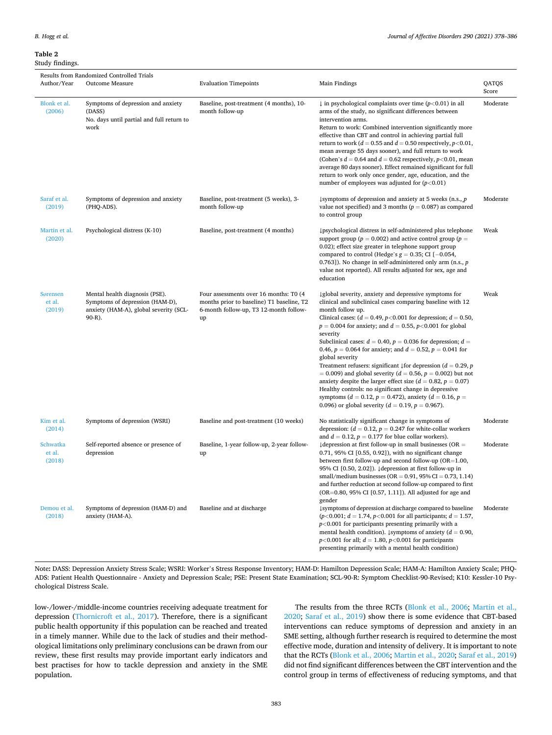<span id="page-5-0"></span>**Table 2**  Study findings.

| Results from Randomized Controlled Trials |                                                                                                                       |                                                                                                                                     |                                                                                                                                                                                                                                                                                                                                                                                                                                                                                                                                                                                                                                                                                                                                                                                                                                                                              |                |  |  |  |
|-------------------------------------------|-----------------------------------------------------------------------------------------------------------------------|-------------------------------------------------------------------------------------------------------------------------------------|------------------------------------------------------------------------------------------------------------------------------------------------------------------------------------------------------------------------------------------------------------------------------------------------------------------------------------------------------------------------------------------------------------------------------------------------------------------------------------------------------------------------------------------------------------------------------------------------------------------------------------------------------------------------------------------------------------------------------------------------------------------------------------------------------------------------------------------------------------------------------|----------------|--|--|--|
| Author/Year                               | Outcome Measure                                                                                                       | <b>Evaluation Timepoints</b>                                                                                                        | Main Findings                                                                                                                                                                                                                                                                                                                                                                                                                                                                                                                                                                                                                                                                                                                                                                                                                                                                | QATQS<br>Score |  |  |  |
| Blonk et al.<br>(2006)                    | Symptoms of depression and anxiety<br>(DASS)<br>No. days until partial and full return to<br>work                     | Baseline, post-treatment (4 months), 10-<br>month follow-up                                                                         | $\downarrow$ in psychological complaints over time (p<0.01) in all<br>arms of the study, no significant differences between<br>intervention arms.<br>Return to work: Combined intervention significantly more<br>effective than CBT and control in achieving partial full<br>return to work ( $d = 0.55$ and $d = 0.50$ respectively, $p < 0.01$ ,<br>mean average 55 days sooner), and full return to work<br>(Cohen's $d = 0.64$ and $d = 0.62$ respectively, $p < 0.01$ , mean<br>average 80 days sooner). Effect remained significant for full<br>return to work only once gender, age, education, and the<br>number of employees was adjusted for $(p<0.01)$                                                                                                                                                                                                            | Moderate       |  |  |  |
| Saraf et al.<br>(2019)                    | Symptoms of depression and anxiety<br>(PHQ-ADS).                                                                      | Baseline, post-treatment (5 weeks), 3-<br>month follow-up                                                                           | $\downarrow$ symptoms of depression and anxiety at 5 weeks (n.s., p<br>value not specified) and 3 months ( $p = 0.087$ ) as compared<br>to control group                                                                                                                                                                                                                                                                                                                                                                                                                                                                                                                                                                                                                                                                                                                     | Moderate       |  |  |  |
| Martin et al.<br>(2020)                   | Psychological distress (K-10)                                                                                         | Baseline, post-treatment (4 months)                                                                                                 | ↓psychological distress in self-administered plus telephone<br>support group ( $p = 0.002$ ) and active control group ( $p =$<br>0.02); effect size greater in telephone support group<br>compared to control (Hedge's $g = 0.35$ ; CI [-0.054,<br>0.763]). No change in self-administered only arm (n.s., $p$<br>value not reported). All results adjusted for sex, age and<br>education                                                                                                                                                                                                                                                                                                                                                                                                                                                                                    | Weak           |  |  |  |
| Sørensen<br>et al.<br>(2019)              | Mental health diagnosis (PSE).<br>Symptoms of depression (HAM-D),<br>anxiety (HAM-A), global severity (SCL-<br>90-R). | Four assessments over 16 months: T0 (4<br>months prior to baseline) T1 baseline, T2<br>6-month follow-up, T3 12-month follow-<br>up | ↓ global severity, anxiety and depressive symptoms for<br>clinical and subclinical cases comparing baseline with 12<br>month follow up.<br>Clinical cases: $(d = 0.49, p<0.001$ for depression; $d = 0.50$ ,<br>$p = 0.004$ for anxiety; and $d = 0.55$ , $p < 0.001$ for global<br>severity<br>Subclinical cases: $d = 0.40$ , $p = 0.036$ for depression; $d =$<br>0.46, $p = 0.064$ for anxiety; and $d = 0.52$ , $p = 0.041$ for<br>global severity<br>Treatment refusers: significant $\downarrow$ for depression (d = 0.29, p<br>$= 0.009$ ) and global severity ( $d = 0.56$ , $p = 0.002$ ) but not<br>anxiety despite the larger effect size ( $d = 0.82$ , $p = 0.07$ )<br>Healthy controls: no significant change in depressive<br>symptoms ( $d = 0.12$ , $p = 0.472$ ), anxiety ( $d = 0.16$ , $p =$<br>0.096) or global severity ( $d = 0.19$ , $p = 0.967$ ). | Weak           |  |  |  |
| Kim et al.<br>(2014)                      | Symptoms of depression (WSRI)                                                                                         | Baseline and post-treatment (10 weeks)                                                                                              | No statistically significant change in symptoms of<br>depression: $(d = 0.12, p = 0.247$ for white-collar workers<br>and $d = 0.12$ , $p = 0.177$ for blue collar workers).                                                                                                                                                                                                                                                                                                                                                                                                                                                                                                                                                                                                                                                                                                  | Moderate       |  |  |  |
| Schwatka<br>et al.<br>(2018)              | Self-reported absence or presence of<br>depression                                                                    | Baseline, 1-year follow-up, 2-year follow-<br>up                                                                                    | $\downarrow$ depression at first follow-up in small businesses (OR =<br>$0.71$ , 95% CI $[0.55, 0.92]$ , with no significant change<br>between first follow-up and second follow-up ( $OR=1.00$ ,<br>95% CI [0.50, 2.02]). ↓ depression at first follow-up in<br>small/medium businesses ( $OR = 0.91$ , $95\% CI = 0.73$ , 1.14)<br>and further reduction at second follow-up compared to first<br>(OR=0.80, 95% CI [0.57, 1.11]). All adjusted for age and<br>gender                                                                                                                                                                                                                                                                                                                                                                                                       | Moderate       |  |  |  |
| Demou et al.<br>(2018)                    | Symptoms of depression (HAM-D) and<br>anxiety (HAM-A).                                                                | Baseline and at discharge                                                                                                           | ↓symptoms of depression at discharge compared to baseline<br>$(p<0.001; d = 1.74, p<0.001$ for all participants; $d = 1.57$ ,<br>$p<0.001$ for participants presenting primarily with a<br>mental health condition). Lymptoms of anxiety ( $d = 0.90$ ,<br>$p$ <0.001 for all; $d = 1.80$ , $p$ <0.001 for participants<br>presenting primarily with a mental health condition)                                                                                                                                                                                                                                                                                                                                                                                                                                                                                              | Moderate       |  |  |  |

Note**:** DASS: Depression Anxiety Stress Scale; WSRI: Worker's Stress Response Inventory; HAM-D: Hamilton Depression Scale; HAM-A: Hamilton Anxiety Scale; PHQ-ADS: Patient Health Questionnaire - Anxiety and Depression Scale; PSE: Present State Examination; SCL-90-R: Symptom Checklist-90-Revised; K10: Kessler-10 Psychological Distress Scale.

low-/lower-/middle-income countries receiving adequate treatment for depression [\(Thornicroft et al., 2017\)](#page-8-0). Therefore, there is a significant public health opportunity if this population can be reached and treated in a timely manner. While due to the lack of studies and their methodological limitations only preliminary conclusions can be drawn from our review, these first results may provide important early indicators and best practises for how to tackle depression and anxiety in the SME population.

The results from the three RCTs [\(Blonk et al., 2006](#page-7-0); [Martin et al.,](#page-7-0)  [2020;](#page-7-0) [Saraf et al., 2019\)](#page-8-0) show there is some evidence that CBT-based interventions can reduce symptoms of depression and anxiety in an SME setting, although further research is required to determine the most effective mode, duration and intensity of delivery. It is important to note that the RCTs [\(Blonk et al., 2006](#page-7-0); [Martin et al., 2020;](#page-7-0) [Saraf et al., 2019\)](#page-8-0) did not find significant differences between the CBT intervention and the control group in terms of effectiveness of reducing symptoms, and that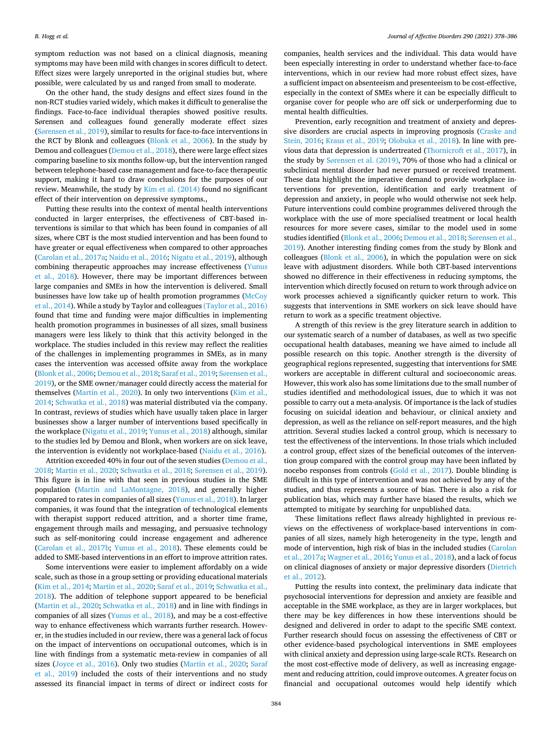symptom reduction was not based on a clinical diagnosis, meaning symptoms may have been mild with changes in scores difficult to detect. Effect sizes were largely unreported in the original studies but, where possible, were calculated by us and ranged from small to moderate.

On the other hand, the study designs and effect sizes found in the non-RCT studies varied widely, which makes it difficult to generalise the findings. Face-to-face individual therapies showed positive results. Sørensen and colleagues found generally moderate effect sizes (Sø[rensen et al., 2019\)](#page-8-0), similar to results for face-to-face interventions in the RCT by Blonk and colleagues [\(Blonk et al., 2006](#page-7-0)). In the study by Demou and colleagues [\(Demou et al., 2018](#page-7-0)), there were large effect sizes comparing baseline to six months follow-up, but the intervention ranged between telephone-based case management and face-to-face therapeutic support, making it hard to draw conclusions for the purposes of our review. Meanwhile, the study by [Kim et al. \(2014\)](#page-7-0) found no significant effect of their intervention on depressive symptoms.,

Putting these results into the context of mental health interventions conducted in larger enterprises, the effectiveness of CBT-based interventions is similar to that which has been found in companies of all sizes, where CBT is the most studied intervention and has been found to have greater or equal effectiveness when compared to other approaches ([Carolan et al., 2017a;](#page-7-0) [Naidu et al., 2016; Nigatu et al., 2019](#page-8-0)), although combining therapeutic approaches may increase effectiveness ([Yunus](#page-8-0)  [et al., 2018](#page-8-0)). However, there may be important differences between large companies and SMEs in how the intervention is delivered. Small businesses have low take up of health promotion programmes (McCoy [et al., 2014](#page-8-0)). While a study by Taylor and colleagues [\(Taylor et al., 2016\)](#page-8-0)  found that time and funding were major difficulties in implementing health promotion programmes in businesses of all sizes, small business managers were less likely to think that this activity belonged in the workplace. The studies included in this review may reflect the realities of the challenges in implementing programmes in SMEs, as in many cases the intervention was accessed offsite away from the workplace ([Blonk et al., 2006](#page-7-0); [Demou et al., 2018;](#page-7-0) [Saraf et al., 2019;](#page-8-0) Sø[rensen et al.,](#page-8-0)  [2019\)](#page-8-0), or the SME owner/manager could directly access the material for themselves ([Martin et al., 2020\)](#page-7-0). In only two interventions ([Kim et al.,](#page-7-0)  [2014;](#page-7-0) [Schwatka et al., 2018](#page-8-0)) was material distributed via the company. In contrast, reviews of studies which have usually taken place in larger businesses show a larger number of interventions based specifically in the workplace [\(Nigatu et al., 2019; Yunus et al., 2018\)](#page-8-0) although, similar to the studies led by Demou and Blonk, when workers are on sick leave, the intervention is evidently not workplace-based [\(Naidu et al., 2016](#page-8-0)).

Attrition exceeded 40% in four out of the seven studies ([Demou et al.,](#page-7-0)  [2018; Martin et al., 2020;](#page-7-0) [Schwatka et al., 2018;](#page-8-0) Sø[rensen et al., 2019](#page-8-0)). This figure is in line with that seen in previous studies in the SME population ([Martin and LaMontagne, 2018\)](#page-7-0), and generally higher compared to rates in companies of all sizes ([Yunus et al., 2018](#page-8-0)). In larger companies, it was found that the integration of technological elements with therapist support reduced attrition, and a shorter time frame, engagement through mails and messaging, and persuasive technology such as self-monitoring could increase engagement and adherence ([Carolan et al., 2017b;](#page-7-0) [Yunus et al., 2018\)](#page-8-0). These elements could be added to SME-based interventions in an effort to improve attrition rates.

Some interventions were easier to implement affordably on a wide scale, such as those in a group setting or providing educational materials ([Kim et al., 2014](#page-7-0); [Martin et al., 2020;](#page-7-0) [Saraf et al., 2019](#page-8-0); [Schwatka et al.,](#page-8-0)  [2018\)](#page-8-0). The addition of telephone support appeared to be beneficial ([Martin et al., 2020;](#page-7-0) [Schwatka et al., 2018](#page-8-0)) and in line with findings in companies of all sizes ([Yunus et al., 2018](#page-8-0)), and may be a cost-effective way to enhance effectiveness which warrants further research. However, in the studies included in our review, there was a general lack of focus on the impact of interventions on occupational outcomes, which is in line with findings from a systematic meta-review in companies of all sizes ([Joyce et al., 2016\)](#page-7-0). Only two studies ([Martin et al., 2020;](#page-7-0) [Saraf](#page-8-0)  [et al., 2019\)](#page-8-0) included the costs of their interventions and no study assessed its financial impact in terms of direct or indirect costs for

companies, health services and the individual. This data would have been especially interesting in order to understand whether face-to-face interventions, which in our review had more robust effect sizes, have a sufficient impact on absenteeism and presenteeism to be cost-effective, especially in the context of SMEs where it can be especially difficult to organise cover for people who are off sick or underperforming due to mental health difficulties.

Prevention, early recognition and treatment of anxiety and depressive disorders are crucial aspects in improving prognosis ([Craske and](#page-7-0)  [Stein, 2016;](#page-7-0) [Kraus et al., 2019;](#page-7-0) [Olobuka et al., 2018](#page-8-0)). In line with previous data that depression is undertreated [\(Thornicroft et al., 2017](#page-8-0)), in the study by Sø[rensen et al. \(2019\)](#page-8-0), 70% of those who had a clinical or subclinical mental disorder had never pursued or received treatment. These data highlight the imperative demand to provide workplace interventions for prevention, identification and early treatment of depression and anxiety, in people who would otherwise not seek help. Future interventions could combine programmes delivered through the workplace with the use of more specialised treatment or local health resources for more severe cases, similar to the model used in some studies identified [\(Blonk et al., 2006](#page-7-0); [Demou et al., 2018;](#page-7-0) Sø[rensen et al.,](#page-8-0)  [2019\)](#page-8-0). Another interesting finding comes from the study by Blonk and colleagues [\(Blonk et al., 2006\)](#page-7-0), in which the population were on sick leave with adjustment disorders. While both CBT-based interventions showed no difference in their effectiveness in reducing symptoms, the intervention which directly focused on return to work through advice on work processes achieved a significantly quicker return to work. This suggests that interventions in SME workers on sick leave should have return to work as a specific treatment objective.

A strength of this review is the grey literature search in addition to our systematic search of a number of databases, as well as two specific occupational health databases, meaning we have aimed to include all possible research on this topic. Another strength is the diversity of geographical regions represented, suggesting that interventions for SME workers are acceptable in different cultural and socioeconomic areas. However, this work also has some limitations due to the small number of studies identified and methodological issues, due to which it was not possible to carry out a meta-analysis. Of importance is the lack of studies focusing on suicidal ideation and behaviour, or clinical anxiety and depression, as well as the reliance on self-report measures, and the high attrition. Several studies lacked a control group, which is necessary to test the effectiveness of the interventions. In those trials which included a control group, effect sizes of the beneficial outcomes of the intervention group compared with the control group may have been inflated by nocebo responses from controls [\(Gold et al., 2017](#page-7-0)). Double blinding is difficult in this type of intervention and was not achieved by any of the studies, and thus represents a source of bias. There is also a risk for publication bias, which may further have biased the results, which we attempted to mitigate by searching for unpublished data.

These limitations reflect flaws already highlighted in previous reviews on the effectiveness of workplace-based interventions in companies of all sizes, namely high heterogeneity in the type, length and mode of intervention, high risk of bias in the included studies [\(Carolan](#page-7-0)  [et al., 2017a](#page-7-0); [Wagner et al., 2016](#page-8-0); [Yunus et al., 2018](#page-8-0)), and a lack of focus on clinical diagnoses of anxiety or major depressive disorders [\(Dietrich](#page-7-0)  [et al., 2012\)](#page-7-0).

Putting the results into context, the preliminary data indicate that psychosocial interventions for depression and anxiety are feasible and acceptable in the SME workplace, as they are in larger workplaces, but there may be key differences in how these interventions should be designed and delivered in order to adapt to the specific SME context. Further research should focus on assessing the effectiveness of CBT or other evidence-based psychological interventions in SME employees with clinical anxiety and depression using large-scale RCTs. Research on the most cost-effective mode of delivery, as well as increasing engagement and reducing attrition, could improve outcomes. A greater focus on financial and occupational outcomes would help identify which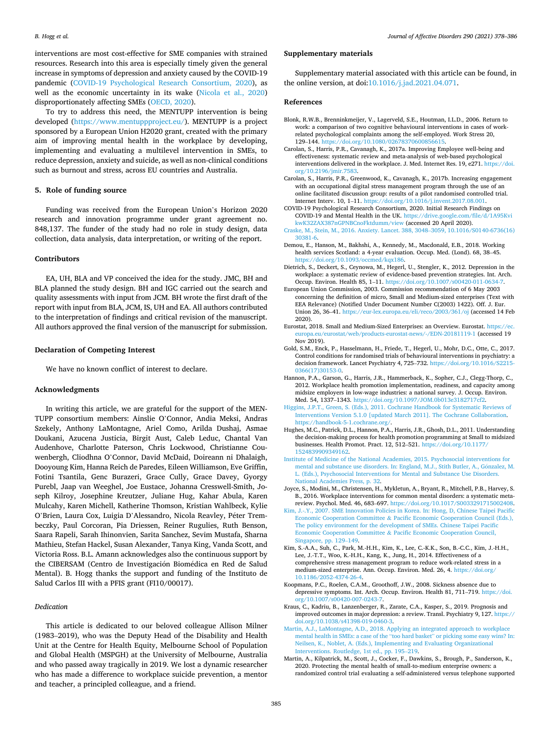<span id="page-7-0"></span>interventions are most cost-effective for SME companies with strained resources. Research into this area is especially timely given the general increase in symptoms of depression and anxiety caused by the COVID-19 pandemic (COVID-19 Psychological Research Consortium, 2020), as well as the economic uncertainty in its wake [\(Nicola et al., 2020\)](#page-8-0) disproportionately affecting SMEs ([OECD, 2020](#page-8-0)).

To try to address this need, the MENTUPP intervention is being developed (<https://www.mentuppproject.eu/>). MENTUPP is a project sponsored by a European Union H2020 grant, created with the primary aim of improving mental health in the workplace by developing, implementing and evaluating a multilevel intervention in SMEs, to reduce depression, anxiety and suicide, as well as non-clinical conditions such as burnout and stress, across EU countries and Australia.

### **5. Role of funding source**

Funding was received from the European Union's Horizon 2020 research and innovation programme under grant agreement no. 848,137. The funder of the study had no role in study design, data collection, data analysis, data interpretation, or writing of the report.

## **Contributors**

EA, UH, BLA and VP conceived the idea for the study. JMC, BH and BLA planned the study design. BH and IGC carried out the search and quality assessments with input from JCM. BH wrote the first draft of the report with input from BLA, JCM, IS, UH and EA. All authors contributed to the interpretation of findings and critical revision of the manuscript. All authors approved the final version of the manuscript for submission.

## **Declaration of Competing Interest**

We have no known conflict of interest to declare.

## **Acknowledgments**

In writing this article, we are grateful for the support of the MEN-TUPP consortium members: Ainslie O'Connor, Andia Meksi, Andras Szekely, Anthony LaMontagne, Ariel Como, Arilda Dushaj, Asmae Doukani, Azucena Justicia, Birgit Aust, Caleb Leduc, Chantal Van Audenhove, Charlotte Paterson, Chris Lockwood, Christianne Couwenbergh, Cliodhna O'Connor, David McDaid, Doireann ni Dhalaigh, Dooyoung Kim, Hanna Reich de Paredes, Eileen Williamson, Eve Griffin, Fotini Tsantila, Genc Burazeri, Grace Cully, Grace Davey, Gyorgy Purebl, Jaap van Weeghel, Joe Eustace, Johanna Cresswell-Smith, Joseph Kilroy, Josephine Kreutzer, Juliane Hug, Kahar Abula, Karen Mulcahy, Karen Michell, Katherine Thomson, Kristian Wahlbeck, Kylie O'Brien, Laura Cox, Luigia D'Alessandro, Nicola Reavley, Péter Trembeczky, Paul Corcoran, Pia Driessen, Reiner Rugulies, Ruth Benson, Saara Rapeli, Sarah Ihinonvien, Sarita Sanchez, Sevim Mustafa, Sharna Mathieu, Stefan Hackel, Susan Alexander, Tanya King, Vanda Scott, and Victoria Ross. B.L. Amann acknowledges also the continuous support by the CIBERSAM (Centro de Investigación Biomédica en Red de Salud Mental). B. Hogg thanks the support and funding of the Instituto de Salud Carlos III with a PFIS grant (FI10/00017).

#### *Dedication*

This article is dedicated to our beloved colleague Allison Milner (1983–2019), who was the Deputy Head of the Disability and Health Unit at the Centre for Health Equity, Melbourne School of Population and Global Health (MSPGH) at the University of Melbourne, Australia and who passed away tragically in 2019. We lost a dynamic researcher who has made a difference to workplace suicide prevention, a mentor and teacher, a principled colleague, and a friend.

#### **Supplementary materials**

Supplementary material associated with this article can be found, in the online version, at doi:[10.1016/j.jad.2021.04.071](https://doi.org/10.1016/j.jad.2021.04.071).

## **References**

- Blonk, R.W.B., Brenninkmeijer, V., Lagerveld, S.E., Houtman, I.L.D., 2006. Return to work: a comparison of two cognitive behavioural interventions in cases of workrelated psychological complaints among the self-employed. Work Stress 20, 129-144. https://doi.org/10.1080/0267837060085661
- Carolan, S., Harris, P.R., Cavanagh, K., 2017a. Improving Employee well-being and effectiveness: systematic review and meta-analysis of web-based psychological interventions delivered in the workplace. J. Med. Internet Res. 19, e271. [https://doi.](https://doi.org/10.2196/jmir.7583)  [org/10.2196/jmir.7583](https://doi.org/10.2196/jmir.7583).
- Carolan, S., Harris, P.R., Greenwood, K., Cavanagh, K., 2017b. Increasing engagement with an occupational digital stress management program through the use of an online facilitated discussion group: results of a pilot randomised controlled trial. Internet Interv. 10, 1–11. [https://doi.org/10.1016/j.invent.2017.08.001.](https://doi.org/10.1016/j.invent.2017.08.001)
- COVID-19 Psychological Research Consortium, 2020. Initial Research Findings on COVID-19 and Mental Health in the UK. [https://drive.google.com/file/d/1A95Kvi](https://drive.google.com/file/d/1A95KvikwK32ZAX387nGPNBCnoFktdumm/view) [kwK32ZAX387nGPNBCnoFktdumm/view](https://drive.google.com/file/d/1A95KvikwK32ZAX387nGPNBCnoFktdumm/view) (accessed 20 April 2020).
- [Craske, M., Stein, M., 2016. Anxiety. Lancet. 388, 3048](http://refhub.elsevier.com/S0165-0327(21)00403-1/sbref0005)–3059, 10.1016/S0140-6736(16) [30381-6](http://refhub.elsevier.com/S0165-0327(21)00403-1/sbref0005).
- Demou, E., Hanson, M., Bakhshi, A., Kennedy, M., Macdonald, E.B., 2018. Working health services Scotland: a 4-year evaluation. Occup. Med. (Lond). 68, 38–45. [https://doi.org/10.1093/occmed/kqx186.](https://doi.org/10.1093/occmed/kqx186)
- Dietrich, S., Deckert, S., Ceynowa, M., Hegerl, U., Stengler, K., 2012. Depression in the workplace: a systematic review of evidence-based prevention strategies. Int. Arch. Occup. Environ. Health 85, 1–11.<https://doi.org/10.1007/s00420-011-0634-7>.
- European Union Commission, 2003. Commission recommendation of 6 May 2003 concerning the definition of micro, Small and Medium-sized enterprises (Text with EEA Relevance) (Notified Under Document Number C(2003) 1422). Off. J. Eur. Union 26, 36–41. <https://eur-lex.europa.eu/eli/reco/2003/361/oj> (accessed 14 Feb 2020).
- Eurostat, 2018. Small and Medium-Sized Enterprises: an Overview. Eurostat. [https://ec.](https://ec.europa.eu/eurostat/web/products-eurostat-news/-/EDN-20181119-1)  [europa.eu/eurostat/web/products-eurostat-news/-/EDN-20181119-1](https://ec.europa.eu/eurostat/web/products-eurostat-news/-/EDN-20181119-1) (accessed 19 Nov 2019).
- Gold, S.M., Enck, P., Hasselmann, H., Friede, T., Hegerl, U., Mohr, D.C., Otte, C., 2017. Control conditions for randomised trials of behavioural interventions in psychiatry: a decision framework. Lancet Psychiatry 4, 725–732. [https://doi.org/10.1016/S2215-](https://doi.org/10.1016/S2215-0366(17)30153-0)  [0366\(17\)30153-0](https://doi.org/10.1016/S2215-0366(17)30153-0).
- Hannon, P.A., Garson, G., Harris, J.R., Hammerback, K., Sopher, C.J., Clegg-Thorp, C., 2012. Workplace health promotion implementation, readiness, and capacity among midsize employers in low-wage industries: a national survey. J. Occup. Environ. Med. 54, 1337–1343. <https://doi.org/10.1097/JOM.0b013e3182717cf2>.
- [Higgins, J.P.T., Green, S. \(Eds.\), 2011. Cochrane Handbook for Systematic Reviews of](http://refhub.elsevier.com/S0165-0327(21)00403-1/sbref0013)  [Interventions Version 5.1.0 \[updated March 2011\]. The Cochrane Collaboration.](http://refhub.elsevier.com/S0165-0327(21)00403-1/sbref0013) [https://handbook-5-1.cochrane.org/.](https://handbook-5-1.cochrane.org/)
- Hughes, M.C., Patrick, D.L., Hannon, P.A., Harris, J.R., Ghosh, D.L., 2011. Understanding the decision-making process for health promotion programming at Small to midsized businesses. Health Promot. Pract. 12, 512–521. [https://doi.org/10.1177/](https://doi.org/10.1177/1524839909349162) [1524839909349162.](https://doi.org/10.1177/1524839909349162)
- [Institute of Medicine of the National Academies, 2015. Psychosocial interventions for](http://refhub.elsevier.com/S0165-0327(21)00403-1/sbref0015)  mental and substance use disorders. In: England, M.J., Stith Butler, A., Gónzalez, M. [L. \(Eds.\), Psychosocial Interventions for Mental and Substance Use Disorders.](http://refhub.elsevier.com/S0165-0327(21)00403-1/sbref0015) [National Academies Press, p. 32](http://refhub.elsevier.com/S0165-0327(21)00403-1/sbref0015).
- Joyce, S., Modini, M., Christensen, H., Mykletun, A., Bryant, R., Mitchell, P.B., Harvey, S. B., 2016. Workplace interventions for common mental disorders: a systematic metareview. Psychol. Med. 46, 683–697. [https://doi.org/10.1017/S0033291715002408.](https://doi.org/10.1017/S0033291715002408)
- [Kim, J.-.Y., 2007. SME Innovation Policies in Korea. In: Hong, D, Chinese Taipei Pacific](http://refhub.elsevier.com/S0165-0327(21)00403-1/sbref0017)  Economic Cooperation Committee & [Pacific Economic Cooperation Council \(Eds.\),](http://refhub.elsevier.com/S0165-0327(21)00403-1/sbref0017) [The policy environment for the development of SMEs. Chinese Taipei Pacific](http://refhub.elsevier.com/S0165-0327(21)00403-1/sbref0017)  Economic Cooperation Committee & [Pacific Economic Cooperation Council,](http://refhub.elsevier.com/S0165-0327(21)00403-1/sbref0017)  [Singapore, pp. 129](http://refhub.elsevier.com/S0165-0327(21)00403-1/sbref0017)–149.
- Kim, S.-A.A., Suh, C., Park, M.-H.H., Kim, K., Lee, C.-K.K., Son, B.-C.C., Kim, J.-H.H., Lee, J.-T.T., Woo, K.-H.H., Kang, K., Jung, H., 2014. Effectiveness of a comprehensive stress management program to reduce work-related stress in a medium-sized enterprise. Ann. Occup. Environ. Med. 26, 4. [https://doi.org/](https://doi.org/10.1186/2052-4374-26-4) [10.1186/2052-4374-26-4.](https://doi.org/10.1186/2052-4374-26-4)
- Koopmans, P.C., Roelen, C.A.M., Groothoff, J.W., 2008. Sickness absence due to depressive symptoms. Int. Arch. Occup. Environ. Health 81, 711–719. [https://doi.](https://doi.org/10.1007/s00420-007-0243-7) [org/10.1007/s00420-007-0243-7.](https://doi.org/10.1007/s00420-007-0243-7)
- Kraus, C., Kadriu, B., Lanzenberger, R., Zarate, C.A., Kasper, S., 2019. Prognosis and improved outcomes in major depression: a review. Transl. Psychiatry 9, 127. [https://](https://doi.org/10.1038/s41398-019-0460-3)  [doi.org/10.1038/s41398-019-0460-3.](https://doi.org/10.1038/s41398-019-0460-3)
- [Martin, A.J., LaMontagne, A.D., 2018. Applying an integrated approach to workplace](http://refhub.elsevier.com/S0165-0327(21)00403-1/sbref0021) [mental health in SMEs: a case of the](http://refhub.elsevier.com/S0165-0327(21)00403-1/sbref0021) "too hard basket" or picking some easy wins? In: [Neilsen, K., Noblet, A. \(Eds.\), Implementing and Evaluating Organizational](http://refhub.elsevier.com/S0165-0327(21)00403-1/sbref0021) [Interventions. Routledge, 1st ed., pp. 195](http://refhub.elsevier.com/S0165-0327(21)00403-1/sbref0021)–219.
- Martin, A., Kilpatrick, M., Scott, J., Cocker, F., Dawkins, S., Brough, P., Sanderson, K., 2020. Protecting the mental health of small-to-medium enterprise owners: a randomized control trial evaluating a self-administered versus telephone supported